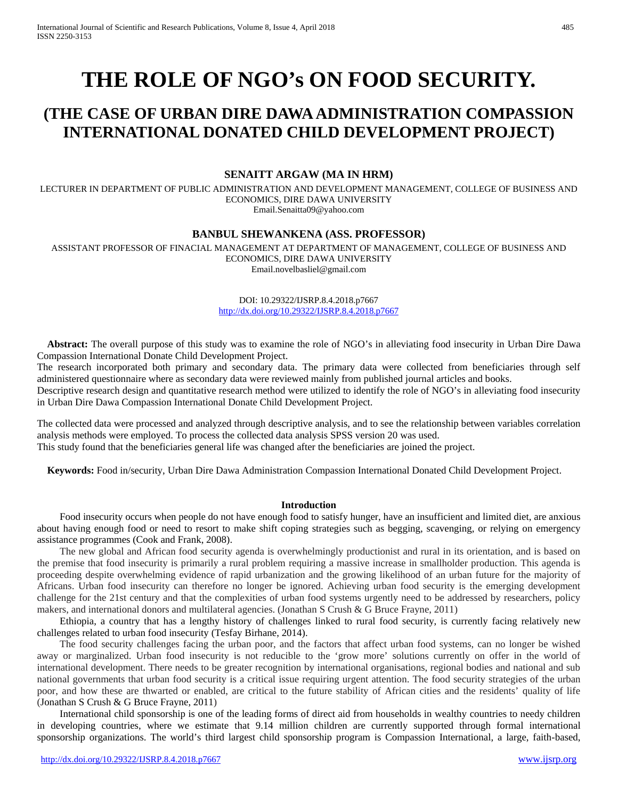# **THE ROLE OF NGO's ON FOOD SECURITY.**

# **(THE CASE OF URBAN DIRE DAWA ADMINISTRATION COMPASSION INTERNATIONAL DONATED CHILD DEVELOPMENT PROJECT)**

# **SENAITT ARGAW (MA IN HRM)**

LECTURER IN DEPARTMENT OF PUBLIC ADMINISTRATION AND DEVELOPMENT MANAGEMENT, COLLEGE OF BUSINESS AND ECONOMICS, DIRE DAWA UNIVERSITY Email.Senaitta09@yahoo.com

#### **BANBUL SHEWANKENA (ASS. PROFESSOR)**

ASSISTANT PROFESSOR OF FINACIAL MANAGEMENT AT DEPARTMENT OF MANAGEMENT, COLLEGE OF BUSINESS AND ECONOMICS, DIRE DAWA UNIVERSITY Email.novelbasliel@gmail.com

> DOI: 10.29322/IJSRP.8.4.2018.p7667 <http://dx.doi.org/10.29322/IJSRP.8.4.2018.p7667>

 **Abstract:** The overall purpose of this study was to examine the role of NGO's in alleviating food insecurity in Urban Dire Dawa Compassion International Donate Child Development Project.

The research incorporated both primary and secondary data. The primary data were collected from beneficiaries through self administered questionnaire where as secondary data were reviewed mainly from published journal articles and books.

Descriptive research design and quantitative research method were utilized to identify the role of NGO's in alleviating food insecurity in Urban Dire Dawa Compassion International Donate Child Development Project.

The collected data were processed and analyzed through descriptive analysis, and to see the relationship between variables correlation analysis methods were employed. To process the collected data analysis SPSS version 20 was used. This study found that the beneficiaries general life was changed after the beneficiaries are joined the project.

 **Keywords:** Food in/security, Urban Dire Dawa Administration Compassion International Donated Child Development Project.

#### **Introduction**

Food insecurity occurs when people do not have enough food to satisfy hunger, have an insufficient and limited diet, are anxious about having enough food or need to resort to make shift coping strategies such as begging, scavenging, or relying on emergency assistance programmes (Cook and Frank, 2008).

The new global and African food security agenda is overwhelmingly productionist and rural in its orientation, and is based on the premise that food insecurity is primarily a rural problem requiring a massive increase in smallholder production. This agenda is proceeding despite overwhelming evidence of rapid urbanization and the growing likelihood of an urban future for the majority of Africans. Urban food insecurity can therefore no longer be ignored. Achieving urban food security is the emerging development challenge for the 21st century and that the complexities of urban food systems urgently need to be addressed by researchers, policy makers, and international donors and multilateral agencies. (Jonathan S Crush & G Bruce Frayne, 2011)

Ethiopia, a country that has a lengthy history of challenges linked to rural food security, is currently facing relatively new challenges related to urban food insecurity (Tesfay Birhane, 2014).

The food security challenges facing the urban poor, and the factors that affect urban food systems, can no longer be wished away or marginalized. Urban food insecurity is not reducible to the 'grow more' solutions currently on offer in the world of international development. There needs to be greater recognition by international organisations, regional bodies and national and sub national governments that urban food security is a critical issue requiring urgent attention. The food security strategies of the urban poor, and how these are thwarted or enabled, are critical to the future stability of African cities and the residents' quality of life (Jonathan S Crush & G Bruce Frayne, 2011)

International child sponsorship is one of the leading forms of direct aid from households in wealthy countries to needy children in developing countries, where we estimate that 9.14 million children are currently supported through formal international sponsorship organizations. The world's third largest child sponsorship program is Compassion International, a large, faith-based,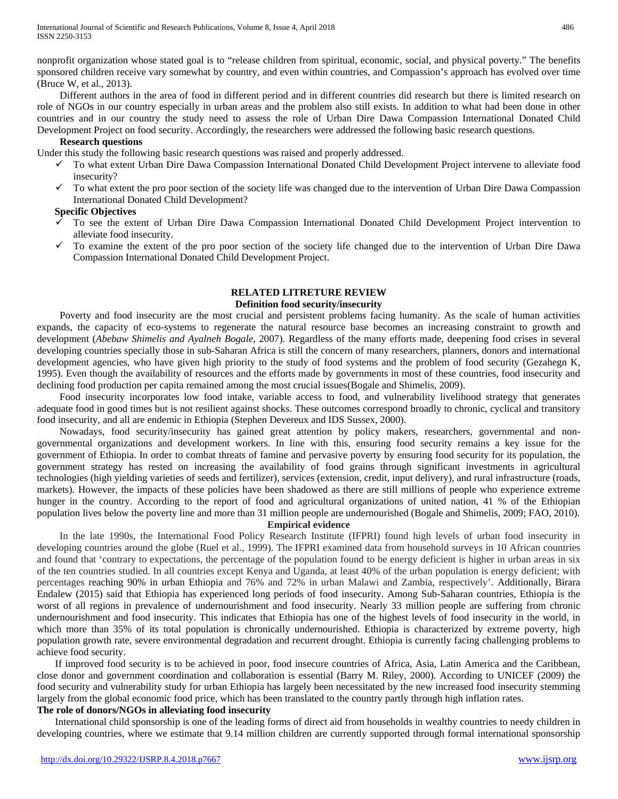nonprofit organization whose stated goal is to "release children from spiritual, economic, social, and physical poverty." The benefits sponsored children receive vary somewhat by country, and even within countries, and Compassion's approach has evolved over time (Bruce W, et al., 2013).

Different authors in the area of food in different period and in different countries did research but there is limited research on role of NGOs in our country especially in urban areas and the problem also still exists. In addition to what had been done in other countries and in our country the study need to assess the role of Urban Dire Dawa Compassion International Donated Child Development Project on food security. Accordingly, the researchers were addressed the following basic research questions.

#### **Research questions**

Under this study the following basic research questions was raised and properly addressed.

- $\checkmark$  To what extent Urban Dire Dawa Compassion International Donated Child Development Project intervene to alleviate food insecurity?
- $\checkmark$  To what extent the pro poor section of the society life was changed due to the intervention of Urban Dire Dawa Compassion International Donated Child Development?

## **Specific Objectives**

- To see the extent of Urban Dire Dawa Compassion International Donated Child Development Project intervention to alleviate food insecurity.
- $\checkmark$  To examine the extent of the pro poor section of the society life changed due to the intervention of Urban Dire Dawa Compassion International Donated Child Development Project.

#### **RELATED LITRETURE REVIEW Definition food security/insecurity**

Poverty and food insecurity are the most crucial and persistent problems facing humanity. As the scale of human activities expands, the capacity of eco-systems to regenerate the natural resource base becomes an increasing constraint to growth and development (*Abebaw Shimelis and Ayalneh Bogale*, 2007). Regardless of the many efforts made, deepening food crises in several developing countries specially those in sub-Saharan Africa is still the concern of many researchers, planners, donors and international development agencies, who have given high priority to the study of food systems and the problem of food security (Gezahegn K, 1995). Even though the availability of resources and the efforts made by governments in most of these countries, food insecurity and declining food production per capita remained among the most crucial issues(Bogale and Shimelis, 2009).

Food insecurity incorporates low food intake, variable access to food, and vulnerability livelihood strategy that generates adequate food in good times but is not resilient against shocks. These outcomes correspond broadly to chronic, cyclical and transitory food insecurity, and all are endemic in Ethiopia (Stephen Devereux and IDS Sussex, 2000).

Nowadays, food security/insecurity has gained great attention by policy makers, researchers, governmental and nongovernmental organizations and development workers. In line with this, ensuring food security remains a key issue for the government of Ethiopia. In order to combat threats of famine and pervasive poverty by ensuring food security for its population, the government strategy has rested on increasing the availability of food grains through significant investments in agricultural technologies (high yielding varieties of seeds and fertilizer), services (extension, credit, input delivery), and rural infrastructure (roads, markets). However, the impacts of these policies have been shadowed as there are still millions of people who experience extreme hunger in the country. According to the report of food and agricultural organizations of united nation, 41 % of the Ethiopian population lives below the poverty line and more than 31 million people are undernourished (Bogale and Shimelis, 2009; FAO, 2010).

#### **Empirical evidence**

In the late 1990s, the International Food Policy Research Institute (IFPRI) found high levels of urban food insecurity in developing countries around the globe (Ruel et al., 1999). The IFPRI examined data from household surveys in 10 African countries and found that 'contrary to expectations, the percentage of the population found to be energy deficient is higher in urban areas in six of the ten countries studied. In all countries except Kenya and Uganda, at least 40% of the urban population is energy deficient; with percentages reaching 90% in urban Ethiopia and 76% and 72% in urban Malawi and Zambia, respectively'. Additionally, Birara Endalew (2015) said that Ethiopia has experienced long periods of food insecurity. Among Sub-Saharan countries, Ethiopia is the worst of all regions in prevalence of undernourishment and food insecurity. Nearly 33 million people are suffering from chronic undernourishment and food insecurity. This indicates that Ethiopia has one of the highest levels of food insecurity in the world, in which more than 35% of its total population is chronically undernourished. Ethiopia is characterized by extreme poverty, high population growth rate, severe environmental degradation and recurrent drought. Ethiopia is currently facing challenging problems to achieve food security.

If improved food security is to be achieved in poor, food insecure countries of Africa, Asia, Latin America and the Caribbean, close donor and government coordination and collaboration is essential (Barry M. Riley, 2000). According to UNICEF (2009) the food security and vulnerability study for urban Ethiopia has largely been necessitated by the new increased food insecurity stemming largely from the global economic food price, which has been translated to the country partly through high inflation rates. **The role of donors/NGOs in alleviating food insecurity**

International child sponsorship is one of the leading forms of direct aid from households in wealthy countries to needy children in developing countries, where we estimate that 9.14 million children are currently supported through formal international sponsorship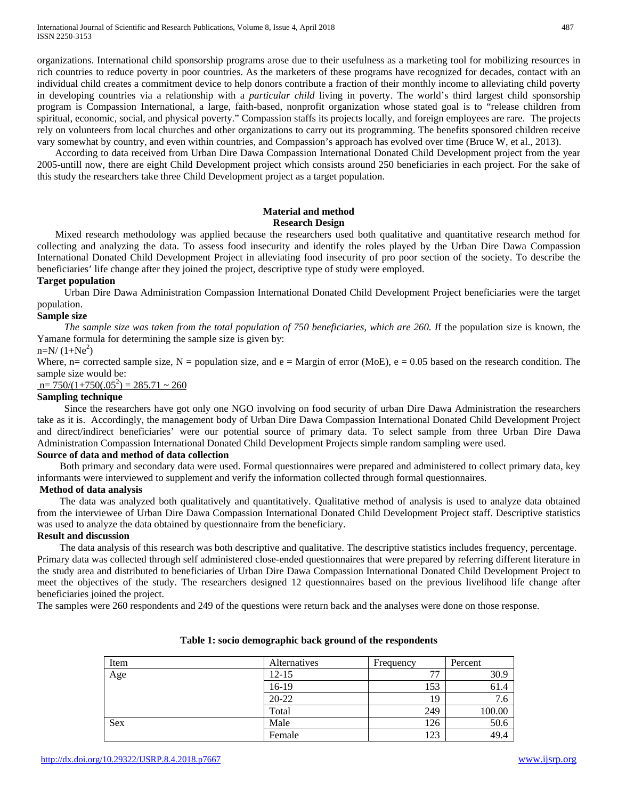organizations. International child sponsorship programs arose due to their usefulness as a marketing tool for mobilizing resources in rich countries to reduce poverty in poor countries. As the marketers of these programs have recognized for decades, contact with an individual child creates a commitment device to help donors contribute a fraction of their monthly income to alleviating child poverty in developing countries via a relationship with a *particular child* living in poverty. The world's third largest child sponsorship program is Compassion International, a large, faith-based, nonprofit organization whose stated goal is to "release children from spiritual, economic, social, and physical poverty." Compassion staffs its projects locally, and foreign employees are rare. The projects rely on volunteers from local churches and other organizations to carry out its programming. The benefits sponsored children receive vary somewhat by country, and even within countries, and Compassion's approach has evolved over time (Bruce W, et al., 2013).

According to data received from Urban Dire Dawa Compassion International Donated Child Development project from the year 2005-untill now, there are eight Child Development project which consists around 250 beneficiaries in each project. For the sake of this study the researchers take three Child Development project as a target population.

## **Material and method Research Design**

Mixed research methodology was applied because the researchers used both qualitative and quantitative research method for collecting and analyzing the data. To assess food insecurity and identify the roles played by the Urban Dire Dawa Compassion International Donated Child Development Project in alleviating food insecurity of pro poor section of the society. To describe the beneficiaries' life change after they joined the project, descriptive type of study were employed.

#### **Target population**

Urban Dire Dawa Administration Compassion International Donated Child Development Project beneficiaries were the target population.

#### **Sample size**

*The sample size was taken from the total population of 750 beneficiaries, which are 260. I*f the population size is known, the Yamane formula for determining the sample size is given by:

# $n=N/(1+Ne^2)$

Where, n= corrected sample size, N = population size, and  $e =$  Margin of error (MoE),  $e = 0.05$  based on the research condition. The sample size would be:

 $n= 750/(1+750(.05^2)) = 285.71 \approx 260$ 

#### **Sampling technique**

Since the researchers have got only one NGO involving on food security of urban Dire Dawa Administration the researchers take as it is. Accordingly, the management body of Urban Dire Dawa Compassion International Donated Child Development Project and direct/indirect beneficiaries' were our potential source of primary data. To select sample from three Urban Dire Dawa Administration Compassion International Donated Child Development Projects simple random sampling were used.

#### **Source of data and method of data collection**

Both primary and secondary data were used. Formal questionnaires were prepared and administered to collect primary data, key informants were interviewed to supplement and verify the information collected through formal questionnaires.

#### **Method of data analysis**

The data was analyzed both qualitatively and quantitatively. Qualitative method of analysis is used to analyze data obtained from the interviewee of Urban Dire Dawa Compassion International Donated Child Development Project staff. Descriptive statistics was used to analyze the data obtained by questionnaire from the beneficiary.

#### **Result and discussion**

The data analysis of this research was both descriptive and qualitative. The descriptive statistics includes frequency, percentage. Primary data was collected through self administered close-ended questionnaires that were prepared by referring different literature in the study area and distributed to beneficiaries of Urban Dire Dawa Compassion International Donated Child Development Project to meet the objectives of the study. The researchers designed 12 questionnaires based on the previous livelihood life change after beneficiaries joined the project.

The samples were 260 respondents and 249 of the questions were return back and the analyses were done on those response.

| Item | Alternatives | Frequency | Percent |
|------|--------------|-----------|---------|
| Age  | $12 - 15$    | 77        | 30.9    |
|      | $16-19$      | 153       | 61.4    |
|      | $20 - 22$    | 19        | 7.6     |
|      | Total        | 249       | 100.00  |
| Sex  | Male         | 126       | 50.6    |
|      | Female       | 123       | 49.4    |

#### **Table 1: socio demographic back ground of the respondents**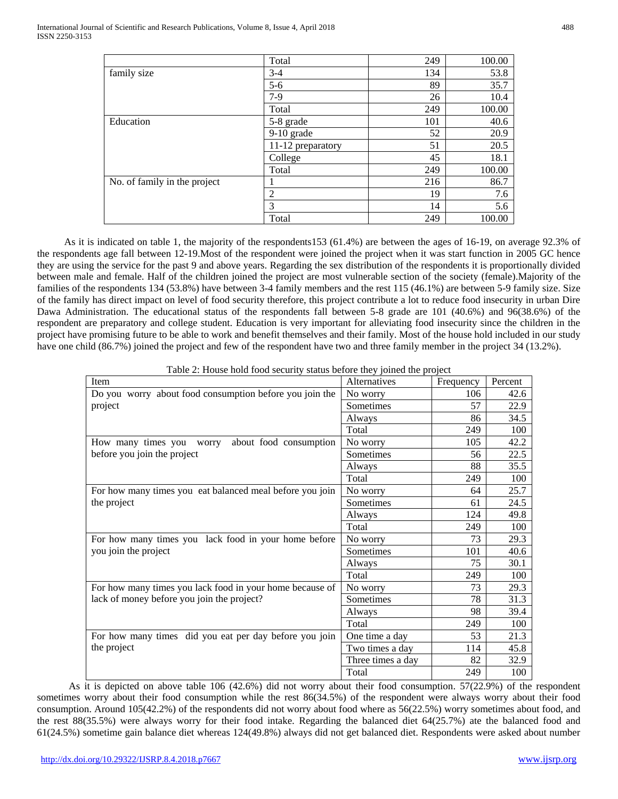|                              | Total             | 249 | 100.00 |
|------------------------------|-------------------|-----|--------|
| family size                  | $3 - 4$           | 134 | 53.8   |
|                              | $5 - 6$           | 89  | 35.7   |
|                              | $7-9$             | 26  | 10.4   |
|                              | Total             | 249 | 100.00 |
| Education                    | 5-8 grade         | 101 | 40.6   |
|                              | 9-10 grade        | 52  | 20.9   |
|                              | 11-12 preparatory | 51  | 20.5   |
|                              | College           | 45  | 18.1   |
|                              | Total             | 249 | 100.00 |
| No. of family in the project |                   | 216 | 86.7   |
|                              | 2                 | 19  | 7.6    |
|                              | 3                 | 14  | 5.6    |
|                              | Total             | 249 | 100.00 |

As it is indicated on table 1, the majority of the respondents153 (61.4%) are between the ages of 16-19, on average 92.3% of the respondents age fall between 12-19.Most of the respondent were joined the project when it was start function in 2005 GC hence they are using the service for the past 9 and above years. Regarding the sex distribution of the respondents it is proportionally divided between male and female. Half of the children joined the project are most vulnerable section of the society (female).Majority of the families of the respondents 134 (53.8%) have between 3-4 family members and the rest 115 (46.1%) are between 5-9 family size. Size of the family has direct impact on level of food security therefore, this project contribute a lot to reduce food insecurity in urban Dire Dawa Administration. The educational status of the respondents fall between 5-8 grade are 101 (40.6%) and 96(38.6%) of the respondent are preparatory and college student. Education is very important for alleviating food insecurity since the children in the project have promising future to be able to work and benefit themselves and their family. Most of the house hold included in our study have one child (86.7%) joined the project and few of the respondent have two and three family member in the project 34 (13.2%).

| Item                                                     | Alternatives      | Frequency | Percent |
|----------------------------------------------------------|-------------------|-----------|---------|
| Do you worry about food consumption before you join the  | No worry          | 106       | 42.6    |
| project                                                  | Sometimes         | 57        | 22.9    |
|                                                          | Always            | 86        | 34.5    |
|                                                          | Total             | 249       | 100     |
| How many times you<br>about food consumption<br>worry    | No worry          | 105       | 42.2    |
| before you join the project                              | Sometimes         | 56        | 22.5    |
|                                                          | Always            | 88        | 35.5    |
|                                                          | Total             | 249       | 100     |
| For how many times you eat balanced meal before you join | No worry          | 64        | 25.7    |
| the project                                              | Sometimes         | 61        | 24.5    |
|                                                          | Always            | 124       | 49.8    |
|                                                          | Total             | 249       | 100     |
| For how many times you lack food in your home before     | No worry          | 73        | 29.3    |
| you join the project                                     | Sometimes         | 101       | 40.6    |
|                                                          | Always            | 75        | 30.1    |
|                                                          | Total             | 249       | 100     |
| For how many times you lack food in your home because of | No worry          | 73        | 29.3    |
| lack of money before you join the project?               | Sometimes         | 78        | 31.3    |
|                                                          | Always            | 98        | 39.4    |
|                                                          | Total             | 249       | 100     |
| For how many times did you eat per day before you join   | One time a day    | 53        | 21.3    |
| the project                                              | Two times a day   | 114       | 45.8    |
|                                                          | Three times a day | 82        | 32.9    |
|                                                          | Total             | 249       | 100     |

As it is depicted on above table 106 (42.6%) did not worry about their food consumption. 57(22.9%) of the respondent sometimes worry about their food consumption while the rest 86(34.5%) of the respondent were always worry about their food consumption. Around 105(42.2%) of the respondents did not worry about food where as 56(22.5%) worry sometimes about food, and the rest 88(35.5%) were always worry for their food intake. Regarding the balanced diet 64(25.7%) ate the balanced food and 61(24.5%) sometime gain balance diet whereas 124(49.8%) always did not get balanced diet. Respondents were asked about number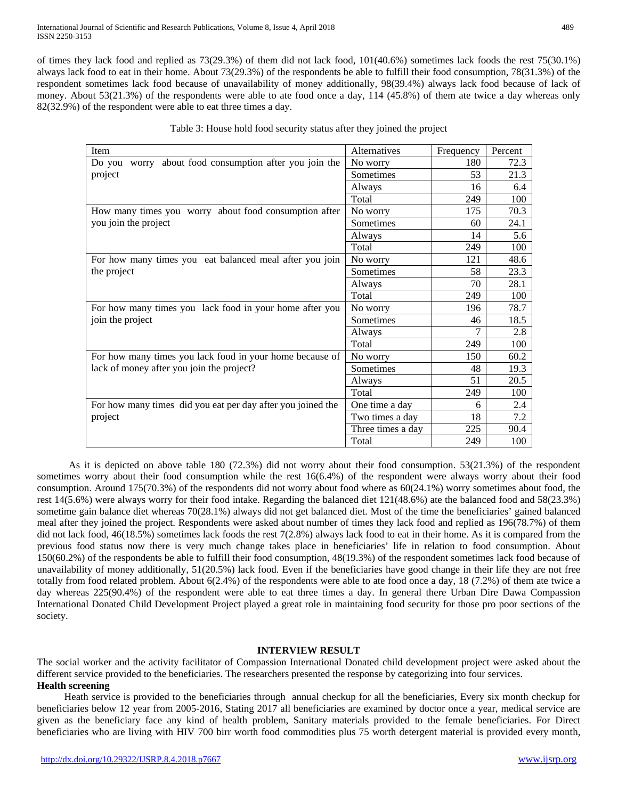of times they lack food and replied as 73(29.3%) of them did not lack food, 101(40.6%) sometimes lack foods the rest 75(30.1%) always lack food to eat in their home. About 73(29.3%) of the respondents be able to fulfill their food consumption, 78(31.3%) of the respondent sometimes lack food because of unavailability of money additionally, 98(39.4%) always lack food because of lack of money. About 53(21.3%) of the respondents were able to ate food once a day, 114 (45.8%) of them ate twice a day whereas only 82(32.9%) of the respondent were able to eat three times a day.

| Item                                                        | Alternatives      | Frequency | Percent |
|-------------------------------------------------------------|-------------------|-----------|---------|
| worry about food consumption after you join the<br>Do you   | No worry          | 180       | 72.3    |
| project                                                     | Sometimes         | 53        | 21.3    |
|                                                             | Always            | 16        | 6.4     |
|                                                             | Total             | 249       | 100     |
| How many times you worry about food consumption after       | No worry          | 175       | 70.3    |
| you join the project                                        | Sometimes         | 60        | 24.1    |
|                                                             | Always            | 14        | 5.6     |
|                                                             | Total             | 249       | 100     |
| For how many times you eat balanced meal after you join     | No worry          | 121       | 48.6    |
| the project                                                 | Sometimes         | 58        | 23.3    |
|                                                             | Always            | 70        | 28.1    |
|                                                             | Total             | 249       | 100     |
| For how many times you lack food in your home after you     | No worry          | 196       | 78.7    |
| join the project                                            | Sometimes         | 46        | 18.5    |
|                                                             | Always            | 7         | 2.8     |
|                                                             | Total             | 249       | 100     |
| For how many times you lack food in your home because of    | No worry          | 150       | 60.2    |
| lack of money after you join the project?                   | Sometimes         | 48        | 19.3    |
|                                                             | Always            | 51        | 20.5    |
|                                                             | Total             | 249       | 100     |
| For how many times did you eat per day after you joined the | One time a day    | 6         | 2.4     |
| project                                                     | Two times a day   | 18        | 7.2     |
|                                                             | Three times a day | 225       | 90.4    |
|                                                             | Total             | 249       | 100     |

Table 3: House hold food security status after they joined the project

As it is depicted on above table 180 (72.3%) did not worry about their food consumption. 53(21.3%) of the respondent sometimes worry about their food consumption while the rest 16(6.4%) of the respondent were always worry about their food consumption. Around 175(70.3%) of the respondents did not worry about food where as 60(24.1%) worry sometimes about food, the rest 14(5.6%) were always worry for their food intake. Regarding the balanced diet 121(48.6%) ate the balanced food and 58(23.3%) sometime gain balance diet whereas 70(28.1%) always did not get balanced diet. Most of the time the beneficiaries' gained balanced meal after they joined the project. Respondents were asked about number of times they lack food and replied as 196(78.7%) of them did not lack food, 46(18.5%) sometimes lack foods the rest 7(2.8%) always lack food to eat in their home. As it is compared from the previous food status now there is very much change takes place in beneficiaries' life in relation to food consumption. About 150(60.2%) of the respondents be able to fulfill their food consumption, 48(19.3%) of the respondent sometimes lack food because of unavailability of money additionally, 51(20.5%) lack food. Even if the beneficiaries have good change in their life they are not free totally from food related problem. About 6(2.4%) of the respondents were able to ate food once a day, 18 (7.2%) of them ate twice a day whereas 225(90.4%) of the respondent were able to eat three times a day. In general there Urban Dire Dawa Compassion International Donated Child Development Project played a great role in maintaining food security for those pro poor sections of the society.

# **INTERVIEW RESULT**

The social worker and the activity facilitator of Compassion International Donated child development project were asked about the different service provided to the beneficiaries. The researchers presented the response by categorizing into four services. **Health screening** 

Heath service is provided to the beneficiaries through annual checkup for all the beneficiaries, Every six month checkup for beneficiaries below 12 year from 2005-2016, Stating 2017 all beneficiaries are examined by doctor once a year, medical service are given as the beneficiary face any kind of health problem, Sanitary materials provided to the female beneficiaries. For Direct beneficiaries who are living with HIV 700 birr worth food commodities plus 75 worth detergent material is provided every month,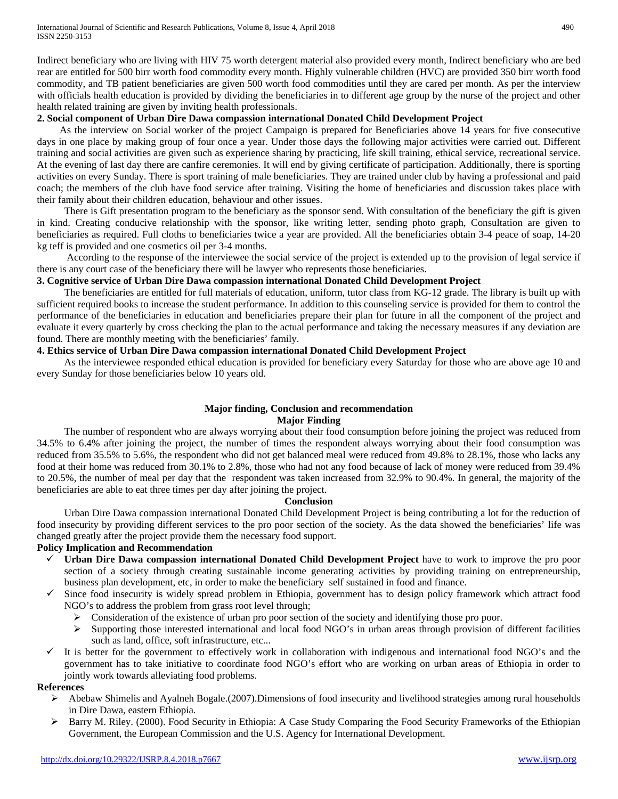Indirect beneficiary who are living with HIV 75 worth detergent material also provided every month, Indirect beneficiary who are bed rear are entitled for 500 birr worth food commodity every month. Highly vulnerable children (HVC) are provided 350 birr worth food commodity, and TB patient beneficiaries are given 500 worth food commodities until they are cared per month. As per the interview with officials health education is provided by dividing the beneficiaries in to different age group by the nurse of the project and other health related training are given by inviting health professionals.

## **2. Social component of Urban Dire Dawa compassion international Donated Child Development Project**

As the interview on Social worker of the project Campaign is prepared for Beneficiaries above 14 years for five consecutive days in one place by making group of four once a year. Under those days the following major activities were carried out. Different training and social activities are given such as experience sharing by practicing, life skill training, ethical service, recreational service. At the evening of last day there are canfire ceremonies. It will end by giving certificate of participation. Additionally, there is sporting activities on every Sunday. There is sport training of male beneficiaries. They are trained under club by having a professional and paid coach; the members of the club have food service after training. Visiting the home of beneficiaries and discussion takes place with their family about their children education, behaviour and other issues.

There is Gift presentation program to the beneficiary as the sponsor send. With consultation of the beneficiary the gift is given in kind. Creating conducive relationship with the sponsor, like writing letter, sending photo graph, Consultation are given to beneficiaries as required. Full cloths to beneficiaries twice a year are provided. All the beneficiaries obtain 3-4 peace of soap, 14-20 kg teff is provided and one cosmetics oil per 3-4 months.

According to the response of the interviewee the social service of the project is extended up to the provision of legal service if there is any court case of the beneficiary there will be lawyer who represents those beneficiaries.

# **3. Cognitive service of Urban Dire Dawa compassion international Donated Child Development Project**

The beneficiaries are entitled for full materials of education, uniform, tutor class from KG-12 grade. The library is built up with sufficient required books to increase the student performance. In addition to this counseling service is provided for them to control the performance of the beneficiaries in education and beneficiaries prepare their plan for future in all the component of the project and evaluate it every quarterly by cross checking the plan to the actual performance and taking the necessary measures if any deviation are found. There are monthly meeting with the beneficiaries' family.

# **4. Ethics service of Urban Dire Dawa compassion international Donated Child Development Project**

As the interviewee responded ethical education is provided for beneficiary every Saturday for those who are above age 10 and every Sunday for those beneficiaries below 10 years old.

# **Major finding, Conclusion and recommendation Major Finding**

The number of respondent who are always worrying about their food consumption before joining the project was reduced from 34.5% to 6.4% after joining the project, the number of times the respondent always worrying about their food consumption was reduced from 35.5% to 5.6%, the respondent who did not get balanced meal were reduced from 49.8% to 28.1%, those who lacks any food at their home was reduced from 30.1% to 2.8%, those who had not any food because of lack of money were reduced from 39.4% to 20.5%, the number of meal per day that the respondent was taken increased from 32.9% to 90.4%. In general, the majority of the beneficiaries are able to eat three times per day after joining the project.

#### **Conclusion**

Urban Dire Dawa compassion international Donated Child Development Project is being contributing a lot for the reduction of food insecurity by providing different services to the pro poor section of the society. As the data showed the beneficiaries' life was changed greatly after the project provide them the necessary food support.

# **Policy Implication and Recommendation**

- **Urban Dire Dawa compassion international Donated Child Development Project** have to work to improve the pro poor section of a society through creating sustainable income generating activities by providing training on entrepreneurship, business plan development, etc, in order to make the beneficiary self sustained in food and finance.
- Since food insecurity is widely spread problem in Ethiopia, government has to design policy framework which attract food NGO's to address the problem from grass root level through;
	- $\triangleright$  Consideration of the existence of urban pro poor section of the society and identifying those pro poor.
	- $\triangleright$  Supporting those interested international and local food NGO's in urban areas through provision of different facilities such as land, office, soft infrastructure, etc...
- It is better for the government to effectively work in collaboration with indigenous and international food NGO's and the government has to take initiative to coordinate food NGO's effort who are working on urban areas of Ethiopia in order to jointly work towards alleviating food problems.

# **References**

- $\triangleright$  Abebaw Shimelis and Ayalneh Bogale.(2007). Dimensions of food insecurity and livelihood strategies among rural households in Dire Dawa, eastern Ethiopia.
- $\triangleright$  Barry M. Riley. (2000). Food Security in Ethiopia: A Case Study Comparing the Food Security Frameworks of the Ethiopian Government, the European Commission and the U.S. Agency for International Development.